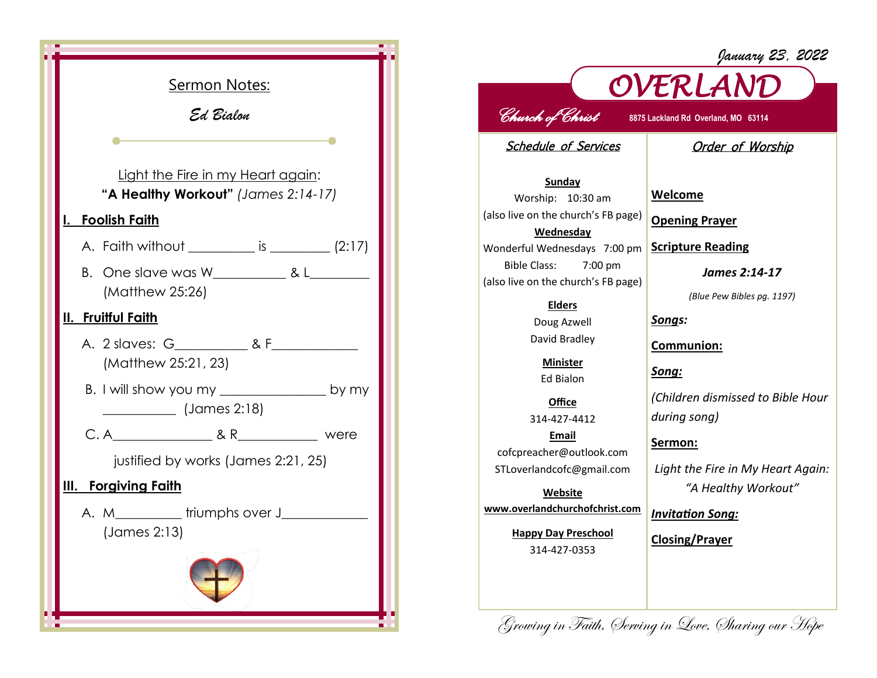

## *OVERLAND Church of Christ* **8875 Lackland Rd Overland, MO 63114**  Schedule of Services Order of Worship

**Sunday** Worship: 10:30 am (also live on the church's FB page) **Wednesday** Wonderful Wednesdays 7:00 pm Bible Class: 7:00 pm (also live on the church's FB page)

> **Elders** Doug Azwell

David Bradley

**Minister** Ed Bialon

**Office** 314-427-4412 **Email** cofcpreacher@outlook.com STLoverlandcofc@gmail.com

**Website www.overlandchurchofchrist.com**

> **Happy Day Preschool** 314-427-0353

**Welcome**

**Opening Prayer**

**Scripture Reading**

*James 2:14-17*

*January 23, 2022*

*(Blue Pew Bibles pg. 1197)*

*Songs:*

**Communion:**

*Song:*

*(Children dismissed to Bible Hour during song)*

**Sermon:** 

*Light the Fire in My Heart Again: "A Healthy Workout"*

*Invitation Song:*

**Closing/Prayer**

Growing in Faith, Serving in Love, Sharing our Hope